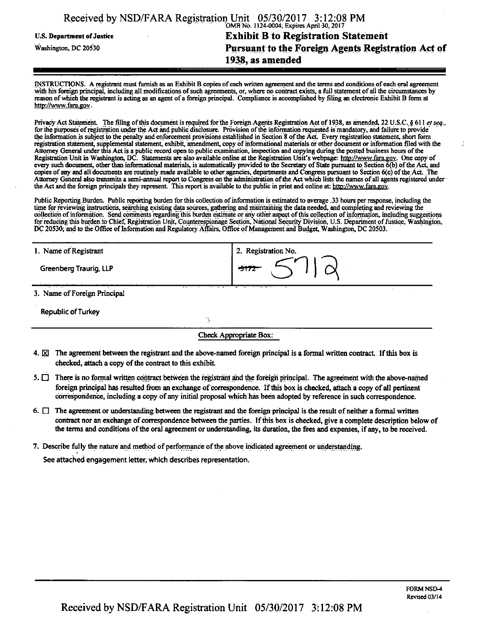| Washington, DC 20530              | Pursuant to the Foreign Agents Registration Act of<br>1938, as amended |
|-----------------------------------|------------------------------------------------------------------------|
| <b>U.S. Department of Justice</b> | <b>Exhibit B to Registration Statement</b>                             |
|                                   | Received by NSD/FARA Registration Unit 05/30/2017 3:12:08 PM           |

INSTRUCTIONS. A registrant must furnish as an Exhibit B copies of each written agreement and the terms and conditions of each oral agreement with his foreign principal, including all modifications of such agreements, or, where no contract exists, a full statement of all the circumstances by reason of which the registrant is acting as an agent of a foreign principal. Compliance is accomplished by filing an electronic Exhibit B form at http://www.fara.gov.

Privacy Act Statement. The filing of this document is required for the Foreign Agents Registration Act of 1938, as amended, 22 U.S.C. § 611 et seq., for the purposes of registration under the Act and public disclosure. Provision of the information requested is mandatory, and failure to provide the information is subject to the penalty and enforcement provisions established in Section 8 of the Act. Every registration statement, short form registration statement, supplemental statement, exhibit, amendment, copy of informational materials or other document or information filed with the Attorney General under this Act is a public record open to public examination, inspection and copying during the posted business hours ofthe Registration Unit in Washington, DC. Statements are also available online at the Registration Unit's webpage: http://www.fara.gov. One copy of every such document, other than informational materials, is automatically provided to the Secretary of State pursuant to Section 6(b) of the Act, and copies of any and all documents are routinely made available to other agencies, departments and Congress pursuant to Section 6(c) of the Act. The Attorney General also transmits a semi-annual report to Congress on the administration ofthe Act which lists the names of all agents registered under the Act and the foreign principals they represent. This report is available to the public in print and online at: http://www.fara.gov.

Public Reporting Burden. Public reporting burden for this collection of information is estimated to average .33 hours per response, including the time for reviewing instructions, searching existing data sources, gathering and maintaining the data needed, and completing and reviewing the collection of information. Send comments regarding this burden estimate of any other aspect of this collection of information, including suggestions for reducing this burden to Chief, Registration Unit, Coimterespionage Section, National Security Division, U.S. Department of Justice, Washington, DC 20530; and to the Office of Information and Regulatory Affairs, Office of Management and Budget Washington, DC 20503.

| 1. Name of Registrant                              | 2. Registration No.  |  |  |  |  |
|----------------------------------------------------|----------------------|--|--|--|--|
| <b>Greenberg Traurig, LLP</b>                      | .<br>-517            |  |  |  |  |
| .<br>$\sim$ $\sim$<br>3. Name of Foreign Principal | $\cdots$<br>$\cdots$ |  |  |  |  |
| <b>Republic of Turkey</b>                          |                      |  |  |  |  |
|                                                    | У.,                  |  |  |  |  |
| $\sim$ $\sim$ $\sim$ $\sim$ $\sim$                 |                      |  |  |  |  |

Check Appropriate Box:

- 4.  $\boxtimes$  The agreement between the registrant and the above-named foreign principal is a formal written contract. If this box is checked, attach a copy of the contract to this exhibit.
- 5.  $\Box$  There is no formal written contract between the registrant and the foreign principal. The agreement with the above-named foreign principal has resulted from an exchange of correspondence. If this box is checked, attach a copy of all pertinent correspondence, including a copy of any initial proposal which has been adopted by reference in such correspondence.
- 6.  $\Box$  The agreement or understanding between the registrant and the foreign principal is the result of neither a formal written contract nor an exchange of correspondence between the parties. If this box is checked, give a complete description below of the terms and conditions of the oral agreement or understanding, its duration, the fees and expenses, if any, to be received.
- 7. Describe fully the nature and method of performance of the above indicated agreement or understanding.

See attached engagement letter, which describes representation.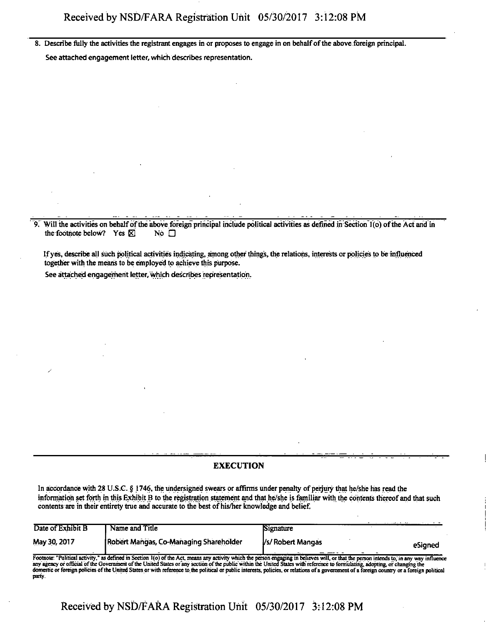8. Describe fully the activities the registrant engages in or proposes to engage in on behalf of the above foreign principal.

See attached engagement letter, which describes representation.

9. Will the activities on behalf of the above foreign principal include political activities as defined in Section 1(o) of the Act and in the footnote below? Yes  $\boxtimes$  No  $\Box$ 

If yes, describe all such political activities indicating, among other tilings, the relations, interests or policies to be influenced together with the means to be employed to achieve this purpose.

See attached engagement letter, which describes representation.

## EXECUTION

In accordance with 28 U.S.C. § 1746, the undersigned swears or affirms under penalty of perjury that he/she has read the information set forth in this Exhibit B to the registration statement and that he/she is familiar with the contents thereof and that such contents are in their entirety true and accurate to the best of his/her knowledge and belief.

| Date of Exhibit B | Name and Title                                                                                                                                                                                                                                                                                                                                                                                                                                                                                                                                 | Signature                                                                                                      |         |
|-------------------|------------------------------------------------------------------------------------------------------------------------------------------------------------------------------------------------------------------------------------------------------------------------------------------------------------------------------------------------------------------------------------------------------------------------------------------------------------------------------------------------------------------------------------------------|----------------------------------------------------------------------------------------------------------------|---------|
| May 30, 2017      | Robert Mangas, Co-Managing Shareholder                                                                                                                                                                                                                                                                                                                                                                                                                                                                                                         | Vs/ Robert Mangas                                                                                              | eSianed |
|                   | Footnote: "Political activity," as defined in Section 1(o) of the Act, means any activity which the person engaging in believes will, or that the person intends to, in any way influence<br>the contract of the contract of the contract of the contract of the contract of the contract of the contract of<br>the company of the second company of the company of the company of the company of the company of the company of the company of the company of the company of the company of the company of the company of the company of the c | the second contract the second and the second contract of the second second second second second second second |         |

Footnote: "Political activity," as defined in Section 1(o) of the Act, means any activity which the person engaging in believes will, or that the person intends to, in any way influence<br>any agency or official of the Govern party.

Received by NSD/FARA Registration Unit 05/30/2017 3:12:08 PM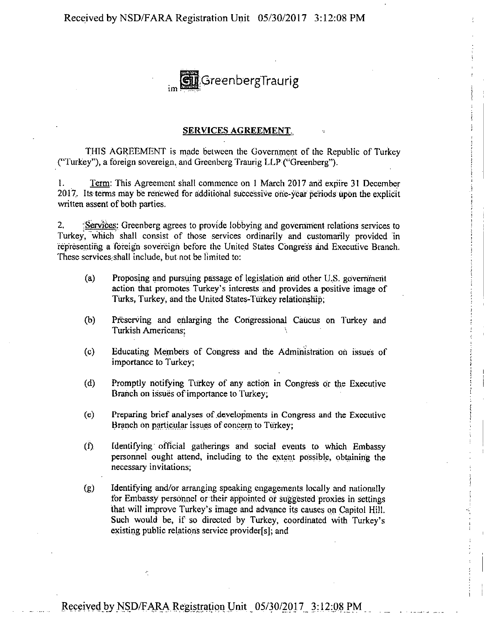

## SERVICES AGREEMENT

THIS AGREEMENT is made between the Government of the Republic of Turkey ("Turkey"), a foreign sovereign, and Greenberg Traurig LLP ("Greenberg").

1. Term: This Agreement shall commence on I March 2017 and expire 31 December 2017. Its terms may be renewed for additional successive one-year periods upon the explicit written assent of both parties.

2. Services: Greenberg agrees to provide lobbying and government relations services to Turkey, which shall consist of those services ordinarily and customarily provided in representing a foreign sovereign before the United States Congress and Executive Branch. These services; shall include, but not be limited to:

- (a) Proposing and pursuing passage of legislation arid other U.S. government action that promotes Turkey's interests and provides a positive image of Turks, Turkey, and the United States-Turkey relationship;
- (b) Preserving and enlarging the Congressional Caucus on Turkey and Turkish Americans; \
- (c) Educating Members of Congress and the Administration on issues of importance to Turkey;
- (d) Promptly notifying Turkey of any action in Congress or the Executive Branch on issues of importance to Turkey;
- (e) Preparing brief analyses of developments in Congress and the Executive Branch on particular issues of concern to Turkey;
- (f) Identifying official gatherings and social events to which Embassy personnel ought attend, including to the extent possible, obtaining the necessary invitations;
- (g) Identifying and/or arranging speaking engagements locally and nationally for Embassy personnel or their appointed or suggested proxies in settings that will improve Turkey's image and advance its causes on Capitol Hill. Such would be, if so directed by Turkey, coordinated with Turkey's existing public relations service provider[s]; and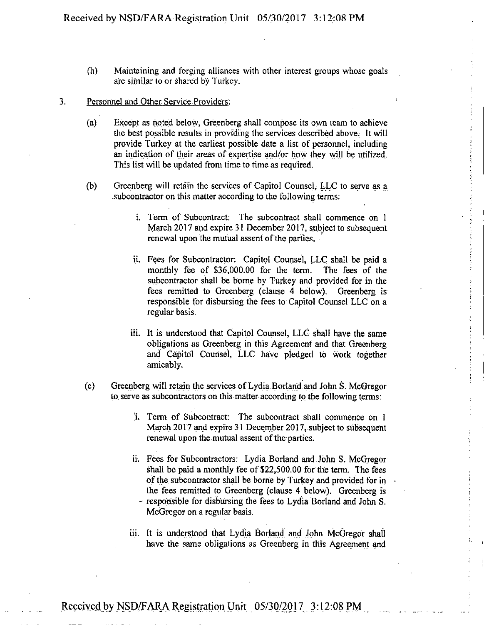- (h) Maintaining and forging alliances with other interest groups whose goals are similar to or shared by Turkey.
- 3. Personnel and Other Service Providers;
	- (a) Except as noted below, Greenberg shall compose its own team to achieve the best possible results in providing the services described above. It will provide Turkey at the earliest possible date a list of personnel, including an indication of their areas of expertise and/or how they will be utilized. This list will be updated from time to time as required.
	- (b) Greenberg will retain the services of Capitol Counsel, LLC to serve as a subcontractor on this matter according to the following terms:
		- i. Term of Subcontract: The subcontract shall commence on 1 March 2017 and expire 31 December 2017, subject to subsequent renewal upon the mutual assent of the parties.

š,  $\frac{1}{2} \left( \frac{1}{2} \right) \left( \frac{1}{2} \right)$ 

à,

 $\overline{1}$ 

- ii. Fees for Subcontractor: Capitol Counsel, LLC shall be paid a monthly fee of \$36,000.00 for the term. The fees of the subcontractor shall be borne by Turkey and provided for in the fees remitted to Greenberg (clause 4 below). Greenberg is responsible for disbursing the fees to-Capitol Counsel LLC on a regular basis.
- iii. It is understood that Capitol Counsel, LLC shall have the same obligations as Greenberg; in this Agreement and that Greenberg and Capitol Counsel, LLC have pledged to work together amicably.
- (c) Greenberg will retain the services of Lydia.Borland and John S. McGregor to. serve as subcontractors on this matter according to the following terms:
	- ;i. Term of Subcontract: The subcontract shall commence on 1 March.2017 and expire 31 December 2017, subject to subsequent renewal upon the-mutual assent of the parties.
	- ii. Fees for Subcontractors: Lydia Borland and John S. McGregor shall be paid a monthly fee of \$22,500.00 for the term. The fees of the subcontractor shall be borne by Turkey and provided for in the fees remitted to Greenberg (clause 4 below). Greenberg is responsible for disbursing the fees to Lydia Borland and John S. McGregor on a regular basis.
	- iii. It is understood that Lydia Borland and John McGregor shall have the same obligations as Greenberg in this Agreement and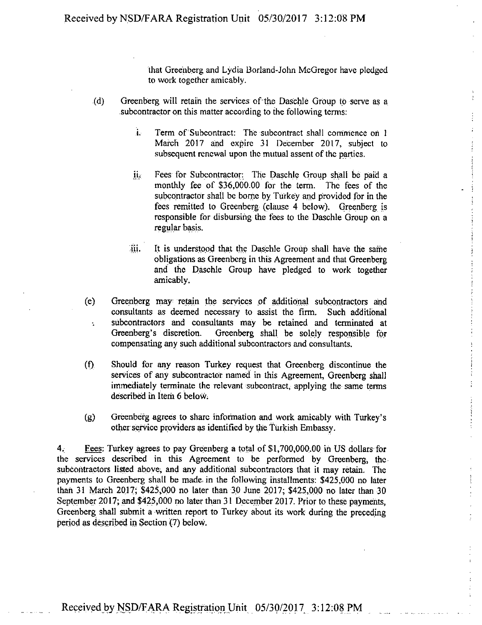that Greenberg and Lydia Borland-John McGregor have pledged to work together amicably.

- (d) Greenberg will retain the services of the Daschle Group to serve as a subcontractor on this matter according to the following terms:
	- **L** Term of Subcontract: The subcontract shall commence on 1 March 2017 and expire 31 December 2017, subject to subsequent renewal upon the mutual assent of the parties.
	- ii. Fees for Subcontractor: The Daschle Group shall be paid a monthly fee of \$36,000.00 for the term. The fees of the subcontractor shall be borne by Turkey and provided for in the fees remitted to Greenberg (clause 4 below). Greenberg is responsible for disbursing the fees to the Daschle Group on a regular basis.
	- .iii. It is understood that the Daschle Group shall have the same obligations as Greenberg in this Agreement and that Greenberg and the Daschle Group have pledged to work together amicably.
- (e) Greenberg may retain the services of additional subcontractors arid consultants as deemed necessary to assist the firm. Such additional subcontractors and consultants may be retained and terminated at  $\mathbf{r}$ Greenberg's discretion. Greenberg shall be solely responsible for compensating any such additional subcontractors and consultants.
- (f) . Should for any reason Turkey request that Greenberg discontinue the services of any subcontractor named in this Agreement, Greenberg shall immediately terminate the relevant subcontract, applying the same terms described in Item 6 below.
- (g) Greenberg agrees to share information and work amicably with Turkey's other service providers as identified by the Turkish Embassy.

4.; Fees: Turkey agrees to pay Greenberg a total of \$1,700,000.00 in US dollars for the services described in this Agreement to be performed by Greenberg, the subcontractors listed above; and any additional subcontractors that it may retain. The payments to Greenberg shall be made in the following installments: \$425,000 no later than 31 March 2017; \$425,000 no later than 30 June 20.17; \$425,0.00 no later than 30 September 2017; and \$425,000 no later than 31 December 2017. Prior to these payments, Greenberg shall submit a written report to Turkey about its work during the preceding period as described in Section (7) below.

Received by NSD/FARA Registration Unit 05/30/2017 3:12:08 PM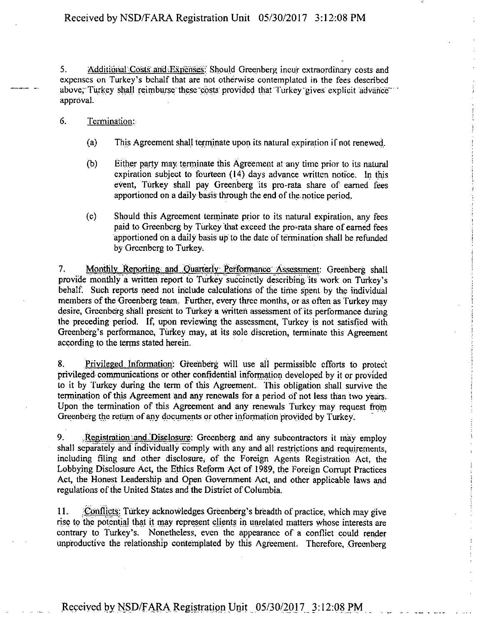5. Additional Costs and Expenses: Should Greenberg incur extraordinary costs and expenses on Turkey's behalf that are not otherwise contemplated in the fees described above; Turkey shall reimburse these costs provided that Turkey gives explicit advance approval.

- 6. Termination:;
	- (a) This Agreement shall terminate upon its natural expiration if not renewed..
	- (b) Either party may tenninate this Agreement at any time prior to its natural expiration subject to fourteen (14) days advance written notice. In this event, Turkey shall pay Greenberg its pro-rata share of earned fees apportioned on a daily basis through the end of the notice period.
	- (c) Should this Agreement terminate prior to its natural expiration, any fees paid to Greenberg by Turkey that exceed the pro-rata share of earned fees apportioned on a daily basis up to the date of termination shall be refunded by Greenberg to Turkey.

7. Monthly Reporting and Quarterly Performance Assessment: Greenberg shall provide monthly a written report to Turkey succinctly describing its work on Turkey's behalf. Such reports need not include calculations of the time spent by the individual members of the Greenberg team. Further, every three months, or as often as Turkey may desire, Greenberg shall present to Turkey a written assessment of its performance during the preceding period. If, upon reviewing the assessment, Turkey is not satisfied with Greenberg's performance, Turkey may, at its sole discretion, terminate this Agreement according to the terms stated herein.

8. Privileged Information: Greenberg will use all permissible efforts to protect privileged communications or other confidential information developed by it or provided to it by Turkey during the term of this Agreement. This obligation shall survive the termination of this Agreement and any renewals for a period of not less than two years. Upon the termination of this Agreement and any renewals Turkey may request from Greenberg the return of any documents or other information provided by Turkey .

9. Registration and Disclosure: Greenberg and any subcontractors it may employ shall separately and individually comply with any and all restrictions and requirements, including filing and other disclosure, of the Foreign Agents Registration Act, the Lobbying Disclosure Act, the Ethics Reform Act of 1989, the Foreign Corrupt Practices Act, the Honest Leadership and Open Government Act, and other applicable laws and regulations of the United States and the District of Columbia.

11. Conflicts: Turkey acknowledges Greenberg's breadth of practice, which may give rise to the potential that it may represent clients in unrelated matters whose interests are contrary to Turkey's. Nonetheless, even the appearance of a conflict could render unproductive the relationship contemplated by this Agreement. Therefore, Greenberg